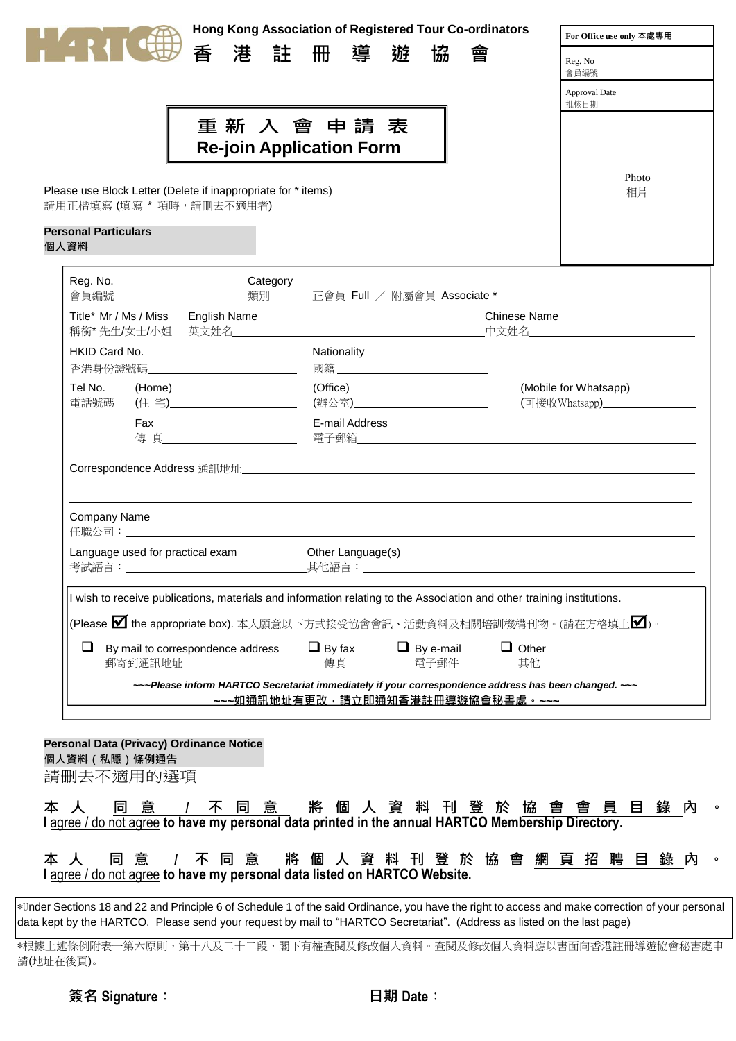

**Hong Kong Association of Registered Tour Co-ordinators**

**香 港 註 冊 導 遊 協 會**

**重 新 入 會 申 請 表 Re-join Application Form**

| For Office use only 本處專用 |  |  |  |  |  |  |  |  |
|--------------------------|--|--|--|--|--|--|--|--|
| Reg. No                  |  |  |  |  |  |  |  |  |

|  | ٠,<br>۰ |  |
|--|---------|--|

Approval Date

# 批核日期

Photo 相片

Please use Block Letter (Delete if inappropriate for \* items) 請用正楷填寫(填寫 \* 項時,請刪去不適用者)

# **Personal Particulars**

**個人資料**

| Reg. No.<br>Category<br>類別<br>會員編號_______________________                                                                                 | 正會員 Full / 附屬會員 Associate *                                                                                          |                                                                           |  |  |  |  |  |  |  |  |
|-------------------------------------------------------------------------------------------------------------------------------------------|----------------------------------------------------------------------------------------------------------------------|---------------------------------------------------------------------------|--|--|--|--|--|--|--|--|
| Title* Mr / Ms / Miss English Name<br>稱銜*先生/女士/小姐 英文姓名______________                                                                      | <b>The Contract of Contract of The Contract of The Contract of The Contract of The Contract of The Contract of T</b> | Chinese Name                                                              |  |  |  |  |  |  |  |  |
| HKID Card No.<br>香港身份證號碼______________                                                                                                    | Nationality                                                                                                          |                                                                           |  |  |  |  |  |  |  |  |
| Tel No. (Home)<br>電話號碼 (住 宅) _______________________                                                                                      | (Office)<br>(辦公室)_____________________________                                                                       | (Mobile for Whatsapp)<br>(可接收Whatsapp)<br><sub>——————</sub> ————————————— |  |  |  |  |  |  |  |  |
| Fax<br>しゅうしょく しゅうしょく しんじょう しんじょう しんしゃく しゅうしょく しゅうしょく しゅうしょく しゅうしょく しゅうしょく しゅうしょく しゅうしゃ                                                    | <b>E-mail Address</b>                                                                                                |                                                                           |  |  |  |  |  |  |  |  |
|                                                                                                                                           |                                                                                                                      |                                                                           |  |  |  |  |  |  |  |  |
| Company Name<br>任職公司: スキャンド しゅうしょう しゅうしょう しんこうしゅう しゅうしゅう しゅうしゅう                                                                           |                                                                                                                      |                                                                           |  |  |  |  |  |  |  |  |
| Language used for practical exam                                                                                                          | Other Language(s)                                                                                                    |                                                                           |  |  |  |  |  |  |  |  |
| I wish to receive publications, materials and information relating to the Association and other training institutions.                    |                                                                                                                      |                                                                           |  |  |  |  |  |  |  |  |
|                                                                                                                                           | (Please $\bm{\boxtimes}$ the appropriate box). 本人願意以下方式接受協會會訊、活動資料及相關培訓機構刊物。(請在方格填上 $\bm{\boxtimes}$ )。              |                                                                           |  |  |  |  |  |  |  |  |
| By mail to correspondence address $\Box$ By fax $\Box$ By e-mail $\Box$ Other<br>❏<br>郵寄到通訊地址                                             | しんしょう (専直) しんしょう しんしょう<br>電子郵件                                                                                       | 其他 ___                                                                    |  |  |  |  |  |  |  |  |
| ~~~ Please inform HARTCO Secretariat immediately if your correspondence address has been changed. ~~~<br>~~~如涌訊地址有更改,請立即通知香港註冊導遊協會秘書處。~~~ |                                                                                                                      |                                                                           |  |  |  |  |  |  |  |  |

請删去不適用的選項 **Personal Data (Privacy) Ordinance Notice 個人資料(私隱)條例通告**

| 本 人 同 意 / 不 同 意   將 個 人 資 料 刊 登 於 協 會 會 員 目 錄 內 。                                                  |  |  |  |  |  |  |  |  |  |  |  |
|----------------------------------------------------------------------------------------------------|--|--|--|--|--|--|--|--|--|--|--|
| I agree / do not agree to have my personal data printed in the annual HARTCO Membership Directory. |  |  |  |  |  |  |  |  |  |  |  |

| 本人 同意 / 不同意 將個人資料刊登於協會網頁招聘目錄內 。                                           |  |  |  |  |  |  |  |  |  |  |  |  |
|---------------------------------------------------------------------------|--|--|--|--|--|--|--|--|--|--|--|--|
| I agree / do not agree to have my personal data listed on HARTCO Website. |  |  |  |  |  |  |  |  |  |  |  |  |

\*Under Sections 18 and 22 and Principle 6 of Schedule 1 of the said Ordinance, you have the right to access and make correction of your personal data kept by the HARTCO. Please send your request by mail to "HARTCO Secretariat". (Address as listed on the last page)

\*根據上述條例附表一第六原則,第十八及二十二段,閣下有權查閱及修改個人資料。查閱及修改個人資料應以書面向香港註冊導遊協會秘書處申 請(地址在後頁)。

**簽名 Signature**: **日期 Date**: